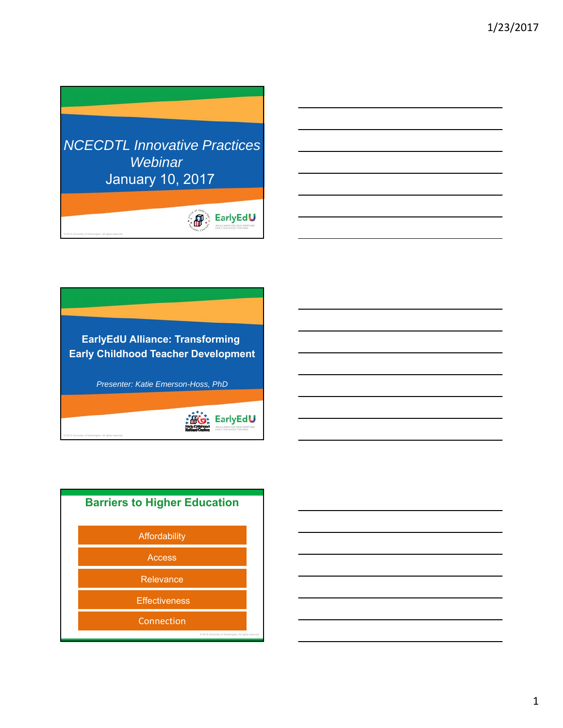



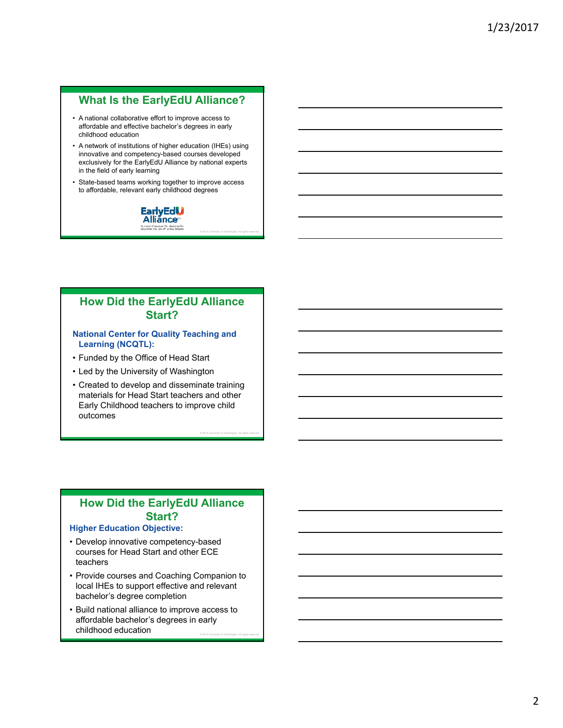### **What Is the EarlyEdU Alliance?**

- affordable and effective bachelor's degrees in early • A national collaborative effort to improve access to childhood education
- innovative and competency-based courses developed • A network of institutions of higher education (IHEs) using exclusively for the EarlyEdU Alliance by national experts in the field of early learning
- State-based teams working together to improve access to affordable, relevant early childhood degrees



© 2016 University of Washington. All rights reserved.

© 2016 University of Washington. All rights reserved.

### **How Did the EarlyEdU Alliance Start?**

### **National Center for Quality Teaching and Learning (NCQTL):**

- Funded by the Office of Head Start
- Led by the University of Washington
- Created to develop and disseminate training materials for Head Start teachers and other Early Childhood teachers to improve child outcomes

# **How Did the EarlyEdU Alliance Start?**

### **Higher Education Objective:**

- • Develop innovative competency-based courses for Head Start and other ECE teachers
- bachelor's degree completion • Provide courses and Coaching Companion to local IHEs to support effective and relevant
- Build national alliance to improve access to affordable bachelor's degrees in early childhood education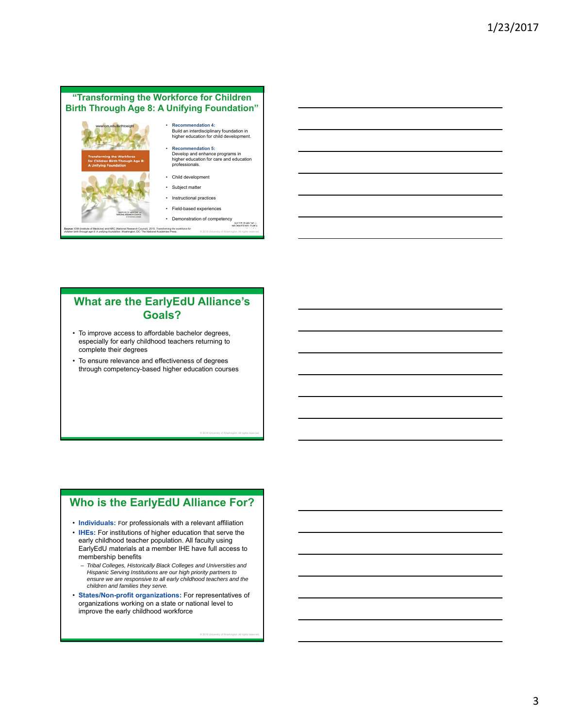### **"Transforming the Workforce for Children Birth Through Age 8: A Unifying Foundation"**



# **What are the EarlyEdU Alliance's Goals?**

- especially for early childhood teachers returning to • To improve access to affordable bachelor degrees, complete their degrees
- • To ensure relevance and effectiveness of degrees through competency-based higher education courses

# **Who is the EarlyEdU Alliance For?**

© 2016 University of Washington. All rights reserved.

- **Individuals:** For professionals with a relevant affiliation
- **IHEs:** For institutions of higher education that serve the early childhood teacher population. All faculty using EarlyEdU materials at a member IHE have full access to membership benefits
	- *Tribal Colleges, Historically Black Colleges and Universities and Hispanic Serving Institutions are our high priority partners to ensure we are responsive to all early childhood teachers and the children and families they serve.*
- **States/Non-profit organizations:** For representatives of organizations working on a state or national level to improve the early childhood workforce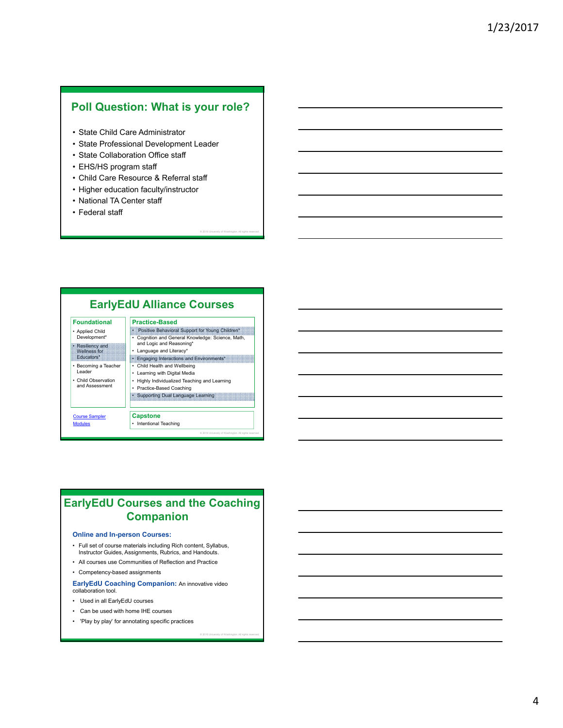### **Poll Question: What is your role?**

- State Child Care Administrator
- State Professional Development Leader
- State Collaboration Office staff
- EHS/HS program staff
- Child Care Resource & Referral staff
- Higher education faculty/instructor
- National TA Center staff
- Federal staff

### **EarlyEdU Alliance Courses**

© 2016 University of Washington. All rights reserved.

© 2016 University of Washington. All rights reserved.

| <b>Foundational</b>                                                                                                                                                              | <b>Practice-Based</b>                                                                                                                                                                                                                                                                                                                                          |
|----------------------------------------------------------------------------------------------------------------------------------------------------------------------------------|----------------------------------------------------------------------------------------------------------------------------------------------------------------------------------------------------------------------------------------------------------------------------------------------------------------------------------------------------------------|
| <b>Applied Child</b><br>Development*<br>• Resiliency and<br><b>Wellness for</b><br><b>Educators*</b><br>Becoming a Teacher<br>Leader<br>Child Observation<br>٠<br>and Assessment | Positive Behavioral Support for Young Children*<br>Cognition and General Knowledge: Science, Math,<br>٠<br>and Logic and Reasoning*<br>Language and Literacy*<br>٠<br>Engaging Interactions and Environments*<br>Child Health and Wellbeing<br>٠<br>Learning with Digital Media<br>٠<br>Highly Individualized Teaching and Learning<br>Practice-Based Coaching |
|                                                                                                                                                                                  | • Supporting Dual Language Learning                                                                                                                                                                                                                                                                                                                            |
| <b>Course Sampler</b>                                                                                                                                                            | <b>Capstone</b>                                                                                                                                                                                                                                                                                                                                                |
| <b>Modules</b>                                                                                                                                                                   | Intentional Teaching<br>٠                                                                                                                                                                                                                                                                                                                                      |

### **EarlyEdU Courses and the Coaching Companion**

### **Online and In-person Courses:**

- • Full set of course materials including Rich content, Syllabus, Instructor Guides, Assignments, Rubrics, and Handouts.
- All courses use Communities of Reflection and Practice
- Competency-based assignments

### **EarlyEdU Coaching Companion:** An innovative video collaboration tool.

- Used in all EarlyEdU courses
- Can be used with home IHE courses
- 'Play by play' for annotating specific practices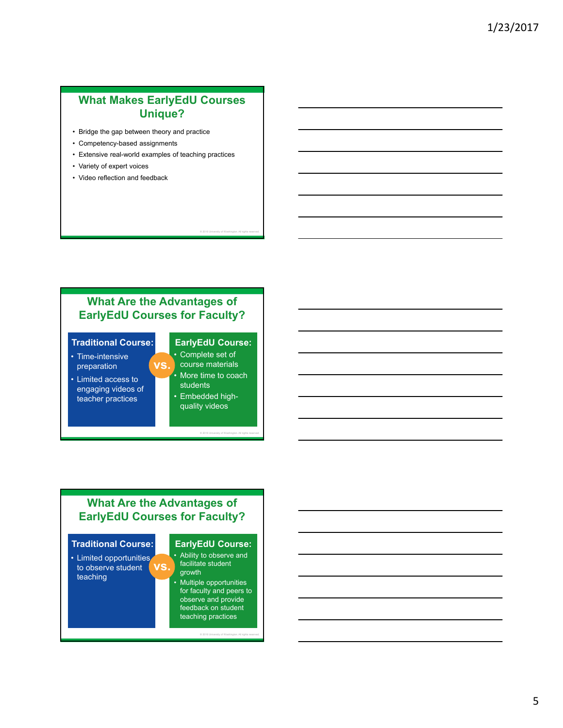### **What Makes EarlyEdU Courses Unique?**

- Bridge the gap between theory and practice
- Competency-based assignments
- Extensive real-world examples of teaching practices
- Variety of expert voices
- Video reflection and feedback

# **What Are the Advantages of EarlyEdU Courses for Faculty?**

**vs.** 

### **Traditional Course:**

- Time-intensive preparation
- Limited access to engaging videos of teacher practices

### **EarlyEdU Course:**

© 2016 University of Washington. All rights reserved.

- Complete set of course materials • More time to coach students
- quality videos • Embedded high-

© 2016 University of Washington. All rights reserved.

### **What Are the Advantages of EarlyEdU Courses for Faculty?**



### **EarlyEdU Course:**

 • Ability to observe and facilitate student growth • Multiple opportunities

for faculty and peers to observe and provide feedback on student teaching practices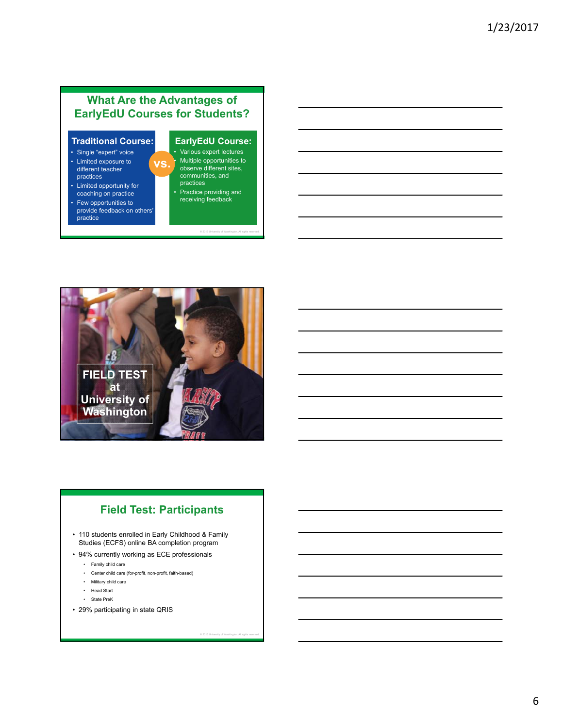# **What Are the Advantages of EarlyEdU Courses for Students?**

**vs.** 

### **Traditional Course:**

- Single "expert" voice
- Limited exposure to different teacher practices
- Limited opportunity for coaching on practice
- Few opportunities to provide feedback on others' practice

### **EarlyEdU Course:**

- Various expert lectures • Multiple opportunities to observe different sites, communities, and practices
- Practice providing and receiving feedback

© 2016 University of Washington. All rights reserved.

© 2016 University of Washington. All rights reserved.

**FIELD TEST at University of Washington** 

# **Field Test: Participants**

- 110 students enrolled in Early Childhood & Family Studies (ECFS) online BA completion program
- 94% currently working as ECE professionals
	- Family child care
	- Center child care (for-profit, non-profit, faith-based)
	- Military child care
	- Head Start
	- State PreK
- 29% participating in state QRIS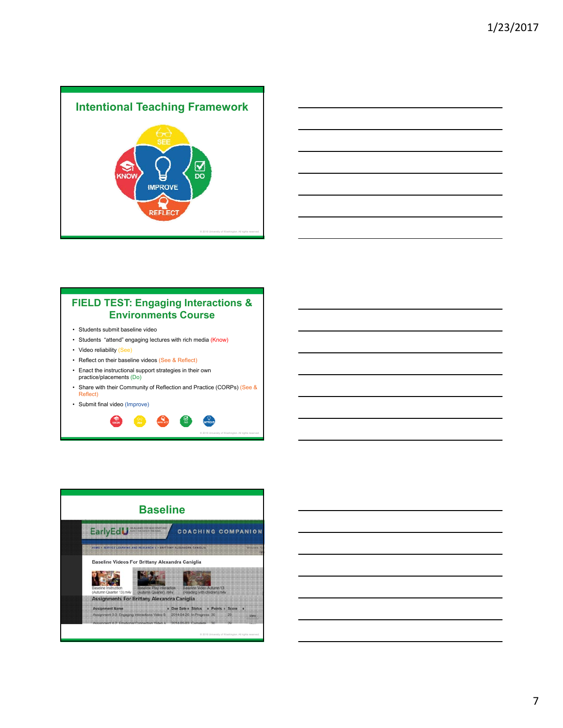



### **FIELD TEST: Engaging Interactions & Environments Course**

- Students submit baseline video
- Students "attend" engaging lectures with rich media (Know)
- Video reliability (See)
- Reflect on their baseline videos (See & Reflect)
- Enact the instructional support strategies in their own practice/placements (Do)
- Share with their Community of Reflection and Practice (CORPs) (See & Reflect)
- Submit final video (Improve)





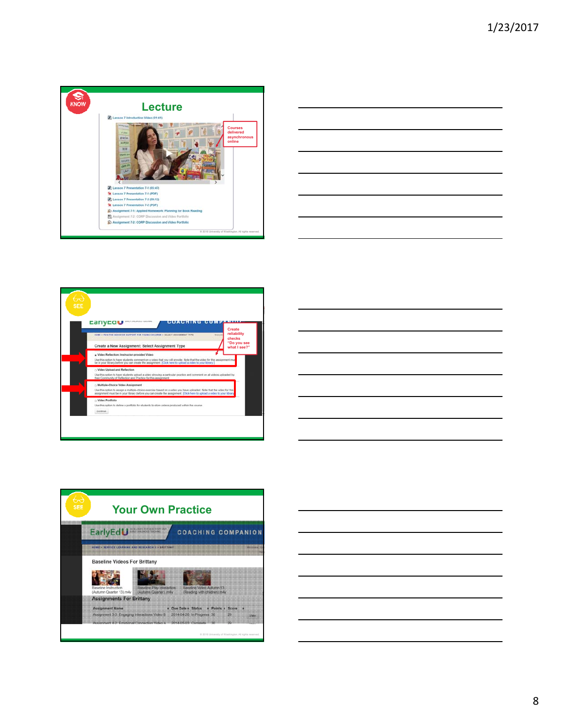









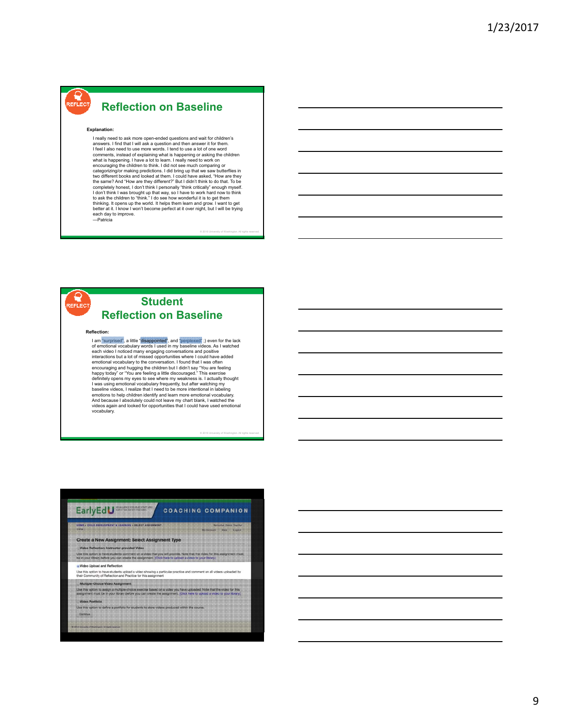# **Reflection on Baseline**

#### **Explanation:**

REFLECT

 I really need to ask more open-ended questions and wait for children's answers. I find that I will ask a question and then answer it for them. I feel I also need to use more words. I tend to use a lot of one word ˈexplaining what is l<br>nave a lot to learn. I making predictions. I did bring up that we saw butt<br>boks and looked at them. I could have asked, "How<br>I "How are they different?" But I didn't think to do tha I have to work hard<br>wonderful it is to ge l l feel I also need to use more words. I tend to use a lot of one word<br>comments, instead of explaining what is happening or asking the children<br>what is happening. I have a lot to learn. I really need to work on<br>encouraging categorizing/or making predictions. I did bring up that we saw butterflies in thos different books and looked at them. I could have asked, "How are they the same? And "How are they different?" But I didn't think to do that each day to improve. —Patricia

© 2016 University of Washington. All rights reserved.

© 2016 University of Washington. All rights reserved.



### **Student Reflection on Baseline**

#### **Reflection:**

I am "surprised", a little "**disappointed"**, and "perplexed", i) even for the lack<br>of emotional vocabulary words I used in my baseline videos. As I watched<br>each video I noticed many engaging conversations and positive<br>inte opens my eyes to see where my weakning emotional vocabulary frequently, but a<br>videos, I realize that I need to be more ir<br>to help children identify and learn more encouraging and hugging the children but I didn't say "You are feeling<br>happy today" or "You are feeling a little discouraged." This exercise<br>definitely opens my eyes to see where my weakness is. I actually thought<br>I was us vocabulary.

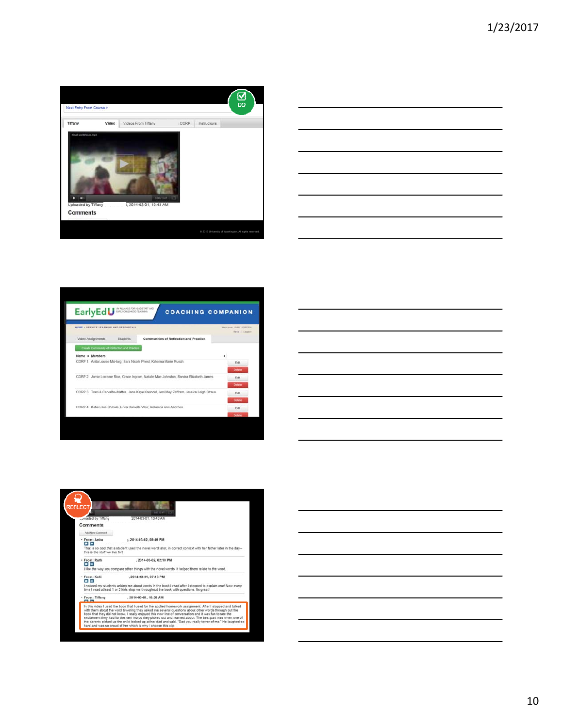

| <u> 1989 - Johann John Stone, markin fan it ferstjer fan de ferstjer fan it ferstjer fan it ferstjer fan it fers</u> |  |         |
|----------------------------------------------------------------------------------------------------------------------|--|---------|
|                                                                                                                      |  | ______  |
|                                                                                                                      |  | _______ |
| <u> 1989 - Johann Barn, amerikansk politiker (d. 1989)</u>                                                           |  |         |
|                                                                                                                      |  |         |

| HOME > RENVICE LEARNING AND RESEARCH II                              |                                                                                            | Western GAIL SUSEPH<br>Help   Logout |
|----------------------------------------------------------------------|--------------------------------------------------------------------------------------------|--------------------------------------|
| Video Assignments<br>Students                                        | Communities of Reflection and Practice                                                     |                                      |
| Create Community of Reflection and Practice                          |                                                                                            |                                      |
| Name . Members                                                       |                                                                                            | ٠                                    |
| CORP 1 Anita Louise McHarg, Sara Nicole Priest, Katerina Marie Musch |                                                                                            | Edit                                 |
|                                                                      |                                                                                            | Detete                               |
|                                                                      | CORP 2 Jamie Lorraine Rice, Grace Ingram, Natalie Mae Johnston, Sandra Elizabeth James     | Fdit                                 |
|                                                                      |                                                                                            | Delete                               |
|                                                                      | CORP 3 Traci A Carvalho-Mattos, Jana Kaye Kreindel, Jeni May Zaffram, Jessica Leigh Straus | Edit                                 |
|                                                                      |                                                                                            | Detete                               |
| CORP 4 Katie Elise Shibale, Erica Danielle Weir, Rebecca Ann Androes |                                                                                            | Edit                                 |
|                                                                      |                                                                                            | <b>Delete</b>                        |





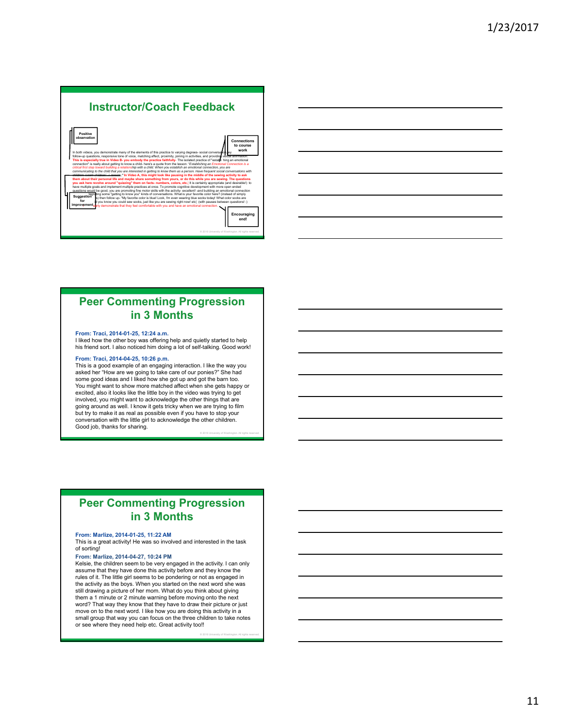#### **Instructor/Coach Feedback Positive Connection**  I f  n you establish<br>mow them as a  matiana with   ice. To promote<br>ills with the act piemem<br>VOU are l sveiopiniei<br>1t! -and bu c ing some "getting to know you" kinds of conversations. What is your favorite color here? (instead of simply<br>s) then follow up- "My favorite color is blue! Look, I'm even wearing blue socks today! What color socks are  ī  ŗ ľ E **Encourag** end! © 2016 University of Washington. All rights reserved.

### **Peer Commenting Progression in 3 Months**

### **From: Traci, 2014-01-25, 12:24 a.m.**

 I liked how the other boy was offering help and quietly started to help his friend sort. I also noticed him doing a lot of self-talking. Good work!

### **From: Traci, 2014-04-25, 10:26 p.m.**

 This is a good example of an engaging interaction. I like the way you asked her "How are we going to take care of our ponies?" She had some good ideas and I liked how she got up and got the barn too. excited, also it looks like the little boy in the video was trying to get but try to make it as real as possible even if you have to stop your Good job, thanks for sharing.<br>
© 2016 University of Washington. All rights reserved. You might want to show more matched affect when she gets happy or involved, you might want to acknowledge the other things that are going around as well. I know it gets tricky when we are trying to film conversation with the little girl to acknowledge the other children.

### **Peer Commenting Progression in 3 Months**

#### **From: Marlize, 2014-01-25, 11:22 AM**

 This is a great activity! He was so involved and interested in the task of sorting!

 **From: Marlize, 2014-04-27, 10:24 PM**  Kelsie, the children seem to be very engaged in the activity. I can only assume that they have done this activity before and they know the rules of it. The little girl seems to be pondering or not as engaged in the activity as the boys. When you started on the next word she was word? That way they know that they have to draw their picture or just move on to the next word. I like how you are doing this activity in a small group that way you can focus on the three children to take notes or see where they need help etc. Great activity too!! still drawing a picture of her mom. What do you think about giving them a 1 minute or 2 minute warning before moving onto the next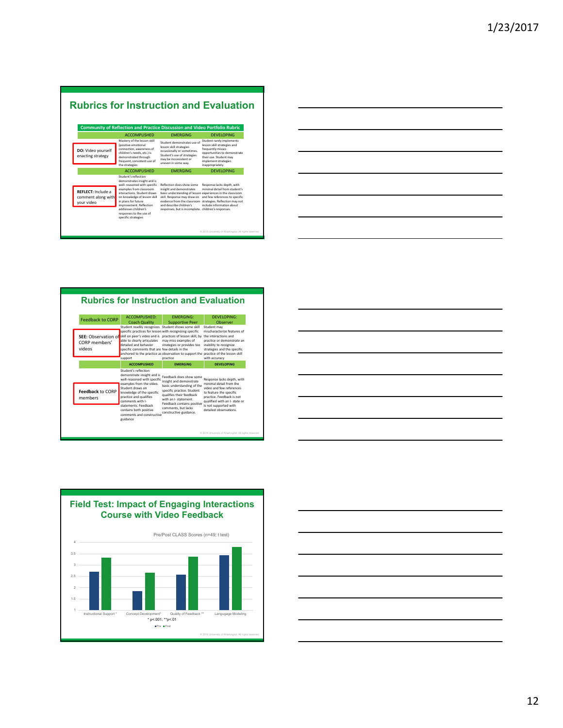# **Rubrics for Instruction and Evaluation**

|                                                               | <b>ACCOMPLISHED</b>                                                                                                                                                                                                                                                                                       | <b>FMFRGING</b>                                                                                                                                                                 | <b>DEVELOPING</b>                                                                                                                                                                                                                                   |
|---------------------------------------------------------------|-----------------------------------------------------------------------------------------------------------------------------------------------------------------------------------------------------------------------------------------------------------------------------------------------------------|---------------------------------------------------------------------------------------------------------------------------------------------------------------------------------|-----------------------------------------------------------------------------------------------------------------------------------------------------------------------------------------------------------------------------------------------------|
| DO: Video yourself<br>enacting strategy                       | Mastery of the lesson skill<br>(positive emotional<br>connection, awareness of<br>children's needs, etc.) is<br>demonstrated through<br>frequent, consistent use of<br>the strategies                                                                                                                     | Student demonstrates use of<br>lesson skill strategies<br>occasionally or sometimes.<br>Student's use of strategies<br>may be inconsistent or<br>uneven in some way.            | Student rarely implements<br>lesson skill strategies and<br>frequently misses<br>opportunities to demonstrate<br>their use. Student may<br>implement strategies<br>inappropriately.                                                                 |
|                                                               | <b>ACCOMPLISHED</b>                                                                                                                                                                                                                                                                                       | <b>FMFRGING</b>                                                                                                                                                                 | <b>DEVELOPING</b>                                                                                                                                                                                                                                   |
| <b>REFLECT:</b> Include a<br>comment along with<br>your video | Student's reflection<br>demonstrates insight and is<br>well- reasoned with specific<br>examples from classroom<br>interactions, Student draws<br>on knowledge of lesson skill<br>in plans for future<br>improvement. Reflection<br>addresses children's<br>responses to the use of<br>specific strategies | Reflection does show some<br>insight and demonstrates<br>skill. Response may draw on<br>evidence from the classroom<br>and describe children's<br>responses, but is incomplete. | Response lacks depth, with<br>minimal detail from student's<br>basic understanding of lesson experiences in the classroom<br>and few references to specific<br>strategies. Reflection may not<br>include information about<br>children's responses. |
|                                                               |                                                                                                                                                                                                                                                                                                           |                                                                                                                                                                                 | © 2016 University of Washington. All rights reserved.                                                                                                                                                                                               |



| <b>ACCOMPLISHED:</b><br><b>FMFRGING:</b><br>DEVELOPING:<br><b>Feedback to CORP</b><br><b>Coach Quality</b><br>Observer<br><b>Supportive Peer</b><br>Student readily recognizes Student shows some skill<br>Student may<br>mischaracterize features of<br>specific practices for lesson with recognizing specific<br><b>SEE:</b> Observation of<br>skill on peer's video and is practices of lesson skill, by the interactions and<br>able to clearly articulates<br>may miss examples of<br>practice or demonstrate an<br>CORP members'<br>detailed and behavior<br>strategies or provides too<br>inability to recognize<br>videos<br>specific comments that are few details in the<br>strategies and the specific<br>anchored to the practice as observation to support the practice of the lesson skill<br>with accuracy<br>practice<br>support<br><b>ACCOMPLISHED</b><br><b>FMFRGING</b><br><b>DEVELOPING</b><br>Student's reflection<br>demonstrate insight and is<br>Feedback does show some<br>Response lacks depth, with<br>well-reasoned with specific<br>insight and demonstrate<br>examples from the video.<br>minimal detail from the<br>basic understanding of the<br>video and few references<br>Student draws on<br>specific practice. Student<br>Feedback to CORP<br>knowledge of the specific<br>to feature the specific<br>qualifies their feedback<br>practice. Feedback is not<br>practice and qualifies<br>members<br>with an I- statement.<br>comments with I-<br>qualified with an I- state or<br>Feedback contains positive<br>statements. Feedback<br>is not supported with<br>comments, but lacks<br>detailed observations.<br>contains both positive<br>constructive guidance.<br>comments and constructive<br>guidance | <b>Rubrics for Instruction and Evaluation</b> |  |  |  |
|---------------------------------------------------------------------------------------------------------------------------------------------------------------------------------------------------------------------------------------------------------------------------------------------------------------------------------------------------------------------------------------------------------------------------------------------------------------------------------------------------------------------------------------------------------------------------------------------------------------------------------------------------------------------------------------------------------------------------------------------------------------------------------------------------------------------------------------------------------------------------------------------------------------------------------------------------------------------------------------------------------------------------------------------------------------------------------------------------------------------------------------------------------------------------------------------------------------------------------------------------------------------------------------------------------------------------------------------------------------------------------------------------------------------------------------------------------------------------------------------------------------------------------------------------------------------------------------------------------------------------------------------------------------------------------------------------------------------------------------------------|-----------------------------------------------|--|--|--|
|                                                                                                                                                                                                                                                                                                                                                                                                                                                                                                                                                                                                                                                                                                                                                                                                                                                                                                                                                                                                                                                                                                                                                                                                                                                                                                                                                                                                                                                                                                                                                                                                                                                                                                                                                   |                                               |  |  |  |
|                                                                                                                                                                                                                                                                                                                                                                                                                                                                                                                                                                                                                                                                                                                                                                                                                                                                                                                                                                                                                                                                                                                                                                                                                                                                                                                                                                                                                                                                                                                                                                                                                                                                                                                                                   |                                               |  |  |  |
|                                                                                                                                                                                                                                                                                                                                                                                                                                                                                                                                                                                                                                                                                                                                                                                                                                                                                                                                                                                                                                                                                                                                                                                                                                                                                                                                                                                                                                                                                                                                                                                                                                                                                                                                                   |                                               |  |  |  |
|                                                                                                                                                                                                                                                                                                                                                                                                                                                                                                                                                                                                                                                                                                                                                                                                                                                                                                                                                                                                                                                                                                                                                                                                                                                                                                                                                                                                                                                                                                                                                                                                                                                                                                                                                   |                                               |  |  |  |





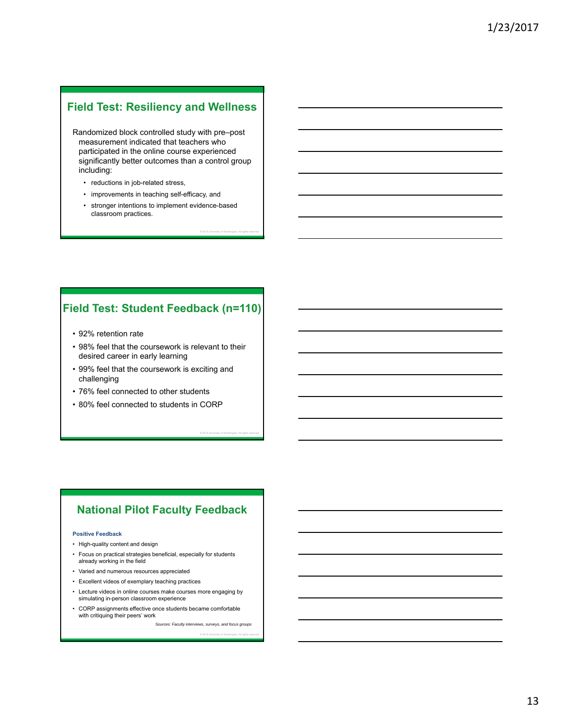# **Field Test: Resiliency and Wellness**

Randomized block controlled study with pre–post measurement indicated that teachers who participated in the online course experienced significantly better outcomes than a control group including:

- reductions in job-related stress,
- improvements in teaching self-efficacy, and
- • stronger intentions to implement evidence-based classroom practices.

© 2016 University of Washington. All rights reserved.

© 2016 University of Washington. All rights reserved.

### **Field Test: Student Feedback (n=110)**

- 92% retention rate
- 98% feel that the coursework is relevant to their desired career in early learning
- 99% feel that the coursework is exciting and challenging
- 76% feel connected to other students
- 80% feel connected to students in CORP

### **National Pilot Faculty Feedback**

#### **Positive Feedback**

- High-quality content and design
- Focus on practical strategies beneficial, especially for students already working in the field
- Varied and numerous resources appreciated
- Excellent videos of exemplary teaching practices
- Lecture videos in online courses make courses more engaging by simulating in-person classroom experience
- • CORP assignments effective once students became comfortable with critiquing their peers' work

*Sources: Faculty interviews, surveys, and focus groups*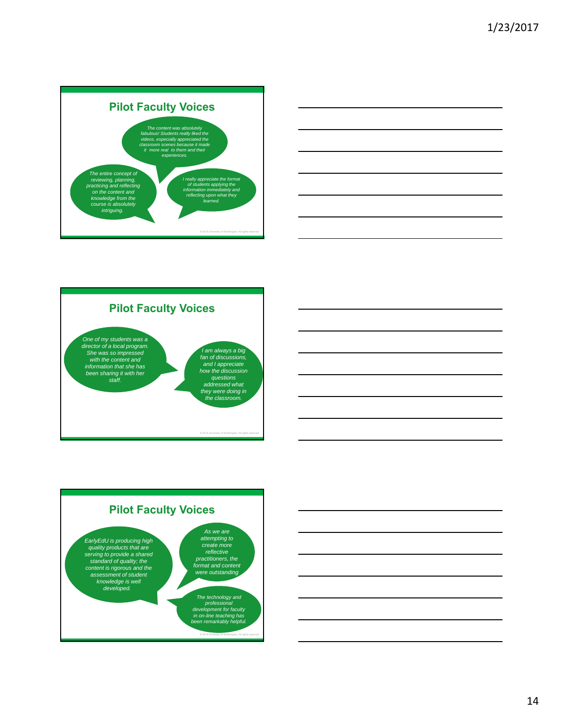







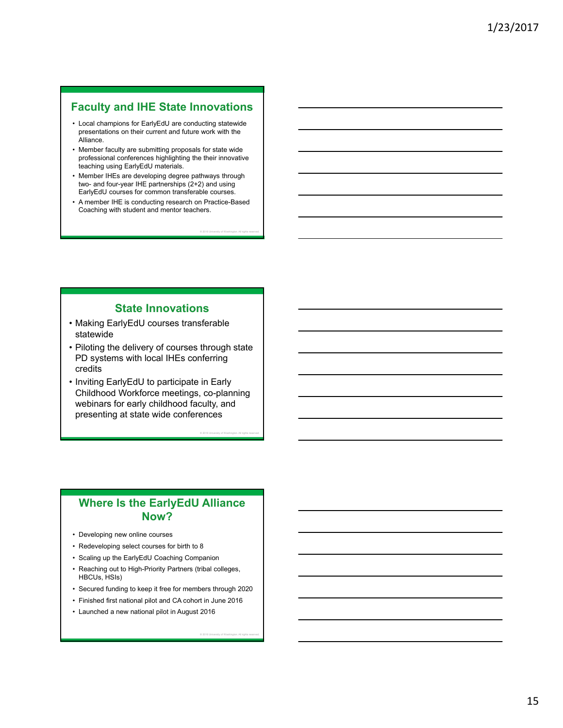### **Faculty and IHE State Innovations**

- Local champions for EarlyEdU are conducting statewide presentations on their current and future work with the Alliance.
- Member faculty are submitting proposals for state wide professional conferences highlighting the their innovative teaching using EarlyEdU materials.
- Member IHEs are developing degree pathways through two- and four-year IHE partnerships (2+2) and using EarlyEdU courses for common transferable courses.
- A member IHE is conducting research on Practice-Based Coaching with student and mentor teachers.

© 2016 University of Washington. All rights reserved.

© 2016 University of Washington. All rights reserved.

© 2016 University of Washington. All rights reserved.

### **State Innovations**

- Making EarlyEdU courses transferable statewide
- Piloting the delivery of courses through state PD systems with local IHEs conferring credits
- Inviting EarlyEdU to participate in Early Childhood Workforce meetings, co-planning webinars for early childhood faculty, and presenting at state wide conferences

### **Where Is the EarlyEdU Alliance Now?**

- Developing new online courses
- Redeveloping select courses for birth to 8
- Scaling up the EarlyEdU Coaching Companion
- • Reaching out to High-Priority Partners (tribal colleges, HBCUs, HSIs)
- Secured funding to keep it free for members through 2020
- Finished first national pilot and CA cohort in June 2016
- Launched a new national pilot in August 2016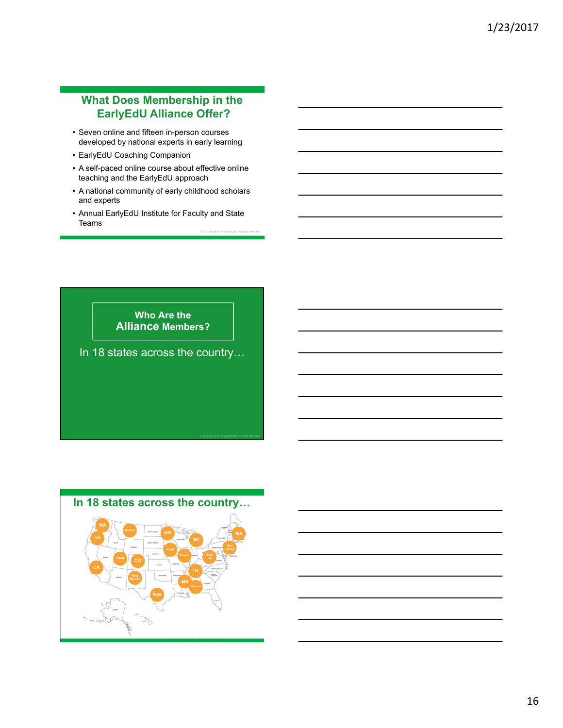### **What Does Membership in the EarlyEdU Alliance Offer?**

- Seven online and fifteen in-person courses developed by national experts in early learning
- EarlyEdU Coaching Companion
- A self-paced online course about effective online teaching and the EarlyEdU approach
- • A national community of early childhood scholars and experts
- Annual EarlyEdU Institute for Faculty and State  ${\bf \text{Teams}}$

**Who Are the Alliance Members?**  In 18 states across the country…

# **In 18 states across the country…**

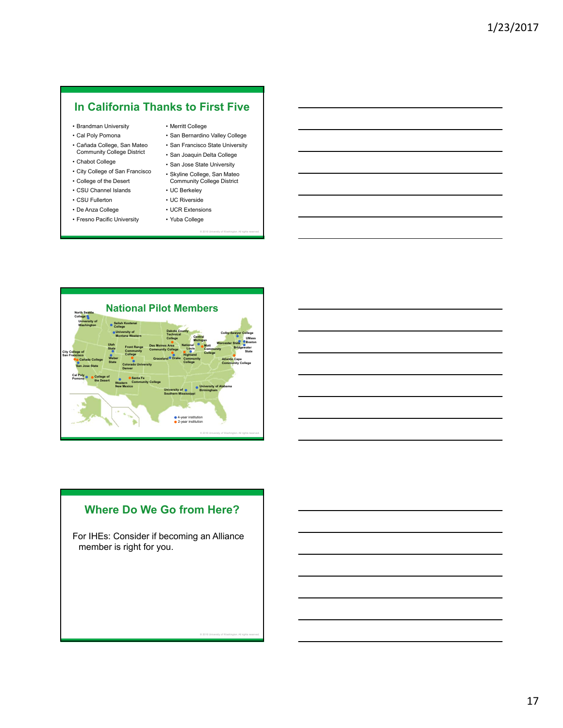### **In California Thanks to First Five**

- Brandman University
- Cal Poly Pomona
- Cañada College, San Mateo Community College District
- Chabot College
- City College of San Francisco
- College of the Desert
- CSU Channel Islands
- CSU Fullerton
- De Anza College
- Fresno Pacific University
- Merritt College
- San Bernardino Valley College
- San Francisco State University
- San Joaquin Delta College
- • San Jose State University • Skyline College, San Mateo

© 2016 University of Washington. All rights reserved.

© 2016 University of Washington. All rights reserved.

- Community College District • UC Berkeley
- UC Riverside
- UCR Extensions
- Yuba College



### **Where Do We Go from Here?**

For IHEs: Consider if becoming an Alliance member is right for you.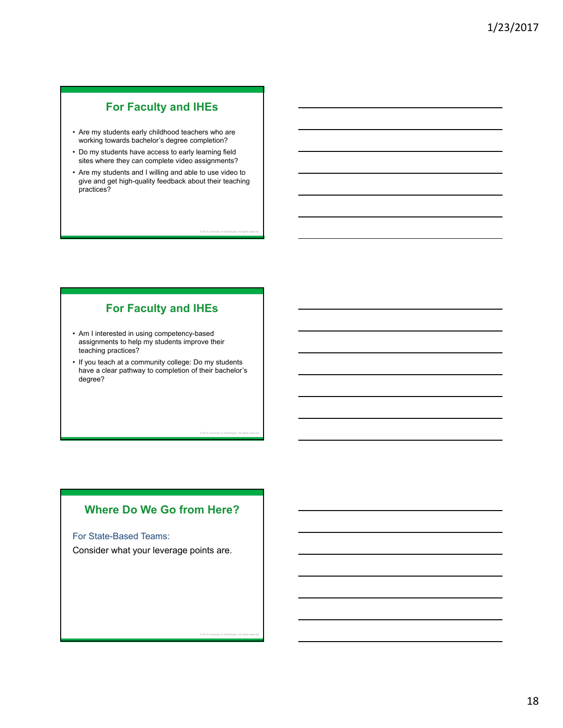# **For Faculty and IHEs**

- Are my students early childhood teachers who are working towards bachelor's degree completion?
- Do my students have access to early learning field sites where they can complete video assignments?
- Are my students and I willing and able to use video to give and get high-quality feedback about their teaching practices?

© 2016 University of Washington. All rights reserved.

© 2016 University of Washington. All rights reserved.

© 2016 University of Washington. All rights reserved.

### **For Faculty and IHEs**

- Am I interested in using competency-based assignments to help my students improve their teaching practices?
- If you teach at a community college: Do my students have a clear pathway to completion of their bachelor's degree?

### **Where Do We Go from Here?**

For State-Based Teams:

Consider what your leverage points are.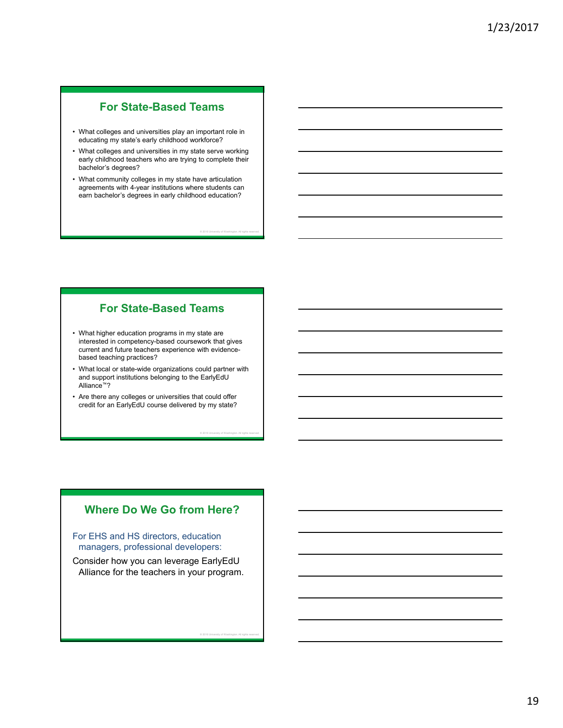# **For State-Based Teams**

- • What colleges and universities play an important role in educating my state's early childhood workforce?
- • What colleges and universities in my state serve working early childhood teachers who are trying to complete their bachelor's degrees?
- • What community colleges in my state have articulation earn bachelor's degrees in early childhood education? agreements with 4-year institutions where students can

© 2016 University of Washington. All rights reserved.

© 2016 University of Washington. All rights reserved.

© 2016 University of Washington. All rights reserved.

### **For State-Based Teams**

- • What higher education programs in my state are interested in competency-based coursework that gives current and future teachers experience with evidencebased teaching practices?
- What local or state-wide organizations could partner with and support institutions belonging to the EarlyEdU Alliance™?
- • Are there any colleges or universities that could offer credit for an EarlyEdU course delivered by my state?

### **Where Do We Go from Here?**

For EHS and HS directors, education managers, professional developers:

Consider how you can leverage EarlyEdU Alliance for the teachers in your program.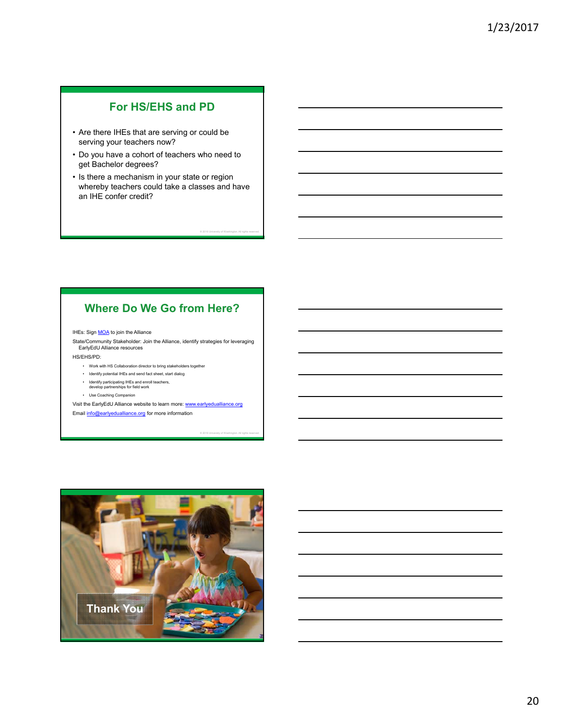# **For HS/EHS and PD**

- Are there IHEs that are serving or could be serving your teachers now?
- Do you have a cohort of teachers who need to get Bachelor degrees?
- Is there a mechanism in your state or region whereby teachers could take a classes and have an IHE confer credit?

© 2016 University of Washington. All rights reserved.

© 2016 University of Washington. All rights reserved.

### **Where Do We Go from Here?**

#### IHEs: Sign **MOA** to join the Alliance

State/Community Stakeholder: Join the Alliance, identify strategies for leveraging EarlyEdU Alliance resources

- HS/EHS/PD:
	- • Work with HS Collaboration director to bring stakeholders together
	- • Identify potential IHEs and send fact sheet, start dialog
	- • Identify participating IHEs and enroll teachers, develop partnerships for field work
	- Use Coaching Companion

Visit the EarlyEdU Alliance website to learn more: www.early Email **info@earlyedualliance.org** for more information